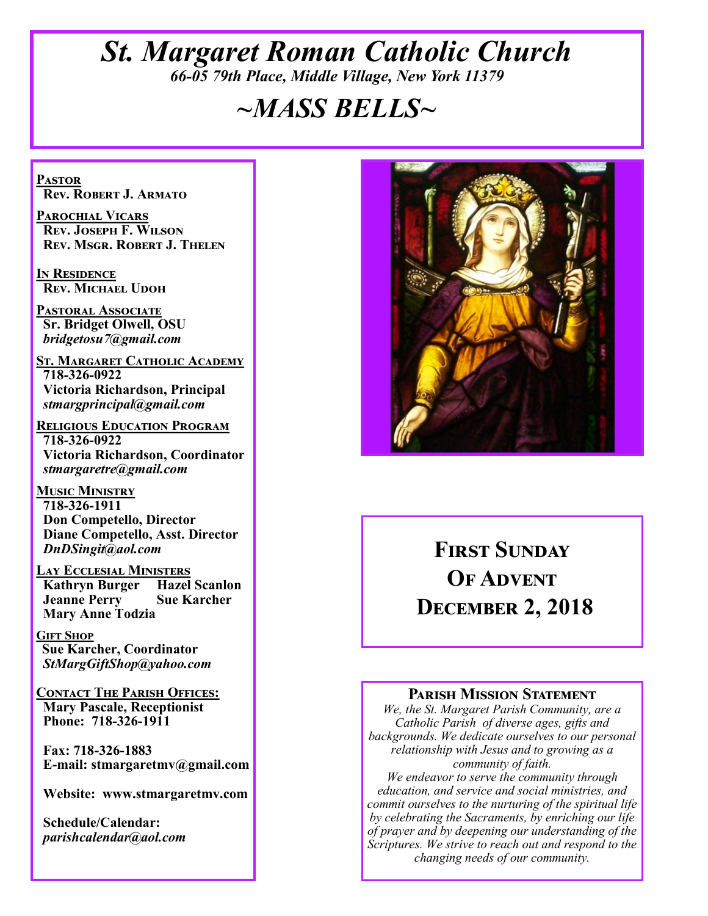## *St. Margaret Roman Catholic Church 66-05 79th Place, Middle Village, New York 11379*

# *~MASS BELLS~*

**Pastor Rev. Robert J. Armato**

**Parochial Vicars Rev. Joseph F. Wilson Rev. Msgr. Robert J. Thelen**

**In Residence Rev. Michael Udoh**

**Pastoral Associate Sr. Bridget Olwell, OSU**  *bridgetosu7@gmail.com*

**St. Margaret Catholic Academy 718-326-0922 Victoria Richardson, Principal**  *stmargprincipal@gmail.com*

**Religious Education Program 718-326-0922 Victoria Richardson, Coordinator** *stmargaretre@gmail.com*

**Music Ministry 718-326-1911 Don Competello, Director Diane Competello, Asst. Director** *DnDSingit@aol.com*

**Lay Ecclesial Ministers Kathryn Burger Jeanne Perry Sue Karcher Mary Anne Todzia**

**Gift Shop Sue Karcher, Coordinator** *StMargGiftShop@yahoo.com*

**Contact The Parish Offices: Mary Pascale, Receptionist Phone: 718-326-1911** 

 **Fax: 718-326-1883 E-mail: stmargaretmv@gmail.com**

 **Website: www.stmargaretmv.com**

 **Schedule/Calendar:** *parishcalendar@aol.com* 



# **First Sunday OF ADVENT December 2, 2018**

#### **Parish Mission Statement**

*We, the St. Margaret Parish Community, are a Catholic Parish of diverse ages, gifts and backgrounds. We dedicate ourselves to our personal relationship with Jesus and to growing as a community of faith.*

*We endeavor to serve the community through education, and service and social ministries, and commit ourselves to the nurturing of the spiritual life by celebrating the Sacraments, by enriching our life of prayer and by deepening our understanding of the Scriptures. We strive to reach out and respond to the changing needs of our community.*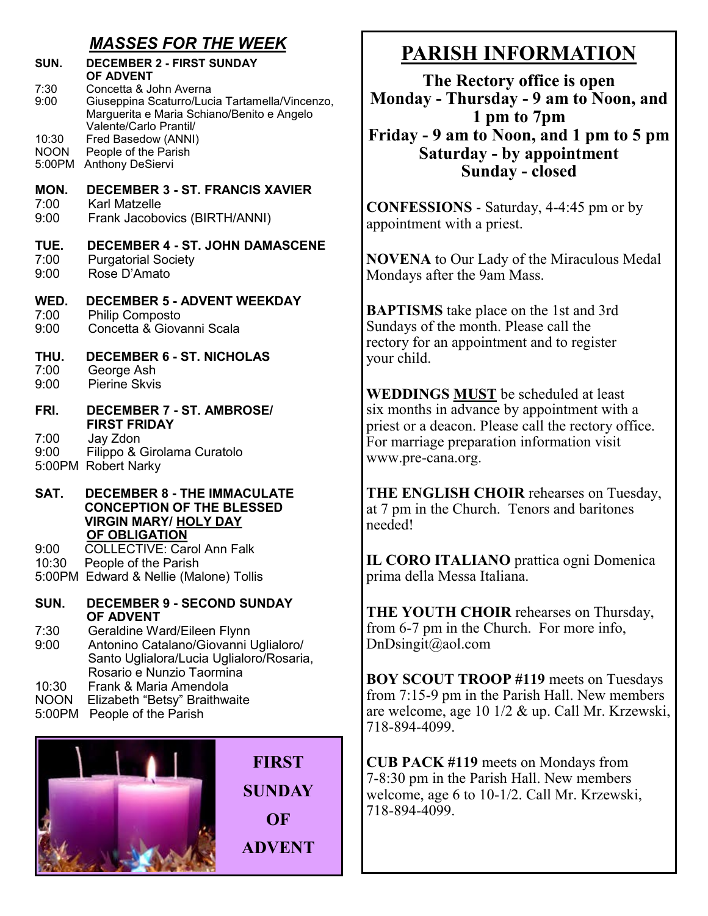#### *MASSES FOR THE WEEK*

| SUN.                           | <b>DECEMBER 2 - FIRST SUNDAY</b><br>OF ADVENT                                                                                                    |  |  |  |  |
|--------------------------------|--------------------------------------------------------------------------------------------------------------------------------------------------|--|--|--|--|
| 7:30<br>9:00                   | Concetta & John Averna<br>Giuseppina Scaturro/Lucia Tartamella/Vincenzo,<br>Marguerita e Maria Schiano/Benito e Angelo<br>Valente/Carlo Prantil/ |  |  |  |  |
| 10:30<br><b>NOON</b><br>5:00PM | Fred Basedow (ANNI)<br>People of the Parish<br><b>Anthony DeSiervi</b>                                                                           |  |  |  |  |
| MON.<br>7:00<br>9:00           | <b>DECEMBER 3 - ST. FRANCIS XAVIER</b><br>Karl Matzelle<br>Frank Jacobovics (BIRTH/ANNI)                                                         |  |  |  |  |
| TUE.<br>7:00<br>9:00           | <b>DECEMBER 4 - ST. JOHN DAMASCENE</b><br><b>Purgatorial Society</b><br>Rose D'Amato                                                             |  |  |  |  |
| WED.<br>7:00<br>9:00           | <b>DECEMBER 5 - ADVENT WEEKDAY</b><br><b>Philip Composto</b><br>Concetta & Giovanni Scala                                                        |  |  |  |  |
| THU.<br>7:00<br>9:00           | <b>DECEMBER 6 - ST. NICHOLAS</b><br>George Ash<br>Pierine Skvis                                                                                  |  |  |  |  |
| FRI.                           | <b>DECEMBER 7 - ST. AMBROSE/</b><br><b>FIRST FRIDAY</b>                                                                                          |  |  |  |  |
| 7:00<br>9:00                   | Jay Zdon<br>Filippo & Girolama Curatolo<br>5:00PM Robert Narky                                                                                   |  |  |  |  |
| SAT.                           | <b>DECEMBER 8 - THE IMMACULATE</b><br><b>CONCEPTION OF THE BLESSED</b><br><b>VIRGIN MARY/ HOLY DAY</b>                                           |  |  |  |  |
| 9:00<br>10:30                  | OF OBLIGATION<br><b>COLLECTIVE: Carol Ann Falk</b><br>People of the Parish<br>5:00PM Edward & Nellie (Malone) Tollis                             |  |  |  |  |
| SUN.                           | <b>DECEMBER 9 - SECOND SUNDAY</b><br><b>OF ADVENT</b>                                                                                            |  |  |  |  |
| 7:30<br>9:00                   | Geraldine Ward/Eileen Flynn<br>Antonino Catalano/Giovanni Uglialoro/                                                                             |  |  |  |  |

9:00 Antonino Catalano/Giovanni Uglialoro/ Santo Uglialora/Lucia Uglialoro/Rosaria, Rosario e Nunzio Taormina<br>10:30 – Frank & Maria Amendola 10:30 Frank & Maria Amendola

- NOON Elizabeth "Betsy" Braithwaite
- 5:00PM People of the Parish



# **PARISH INFORMATION**

**The Rectory office is open Monday - Thursday - 9 am to Noon, and 1 pm to 7pm Friday - 9 am to Noon, and 1 pm to 5 pm Saturday - by appointment Sunday - closed**

**CONFESSIONS** - Saturday, 4-4:45 pm or by appointment with a priest.

**NOVENA** to Our Lady of the Miraculous Medal Mondays after the 9am Mass.

**BAPTISMS** take place on the 1st and 3rd Sundays of the month. Please call the rectory for an appointment and to register your child.

**WEDDINGS MUST** be scheduled at least six months in advance by appointment with a priest or a deacon. Please call the rectory office. For marriage preparation information visit www.pre-cana.org.

**THE ENGLISH CHOIR** rehearses on Tuesday, at 7 pm in the Church. Tenors and baritones needed!

**IL CORO ITALIANO** prattica ogni Domenica prima della Messa Italiana.

**THE YOUTH CHOIR** rehearses on Thursday, from 6-7 pm in the Church. For more info, DnDsingit@aol.com

**BOY SCOUT TROOP #119** meets on Tuesdays from 7:15-9 pm in the Parish Hall. New members are welcome, age 10 1/2 & up. Call Mr. Krzewski, 718-894-4099.

**CUB PACK #119** meets on Mondays from 7-8:30 pm in the Parish Hall. New members welcome, age 6 to 10-1/2. Call Mr. Krzewski, 718-894-4099.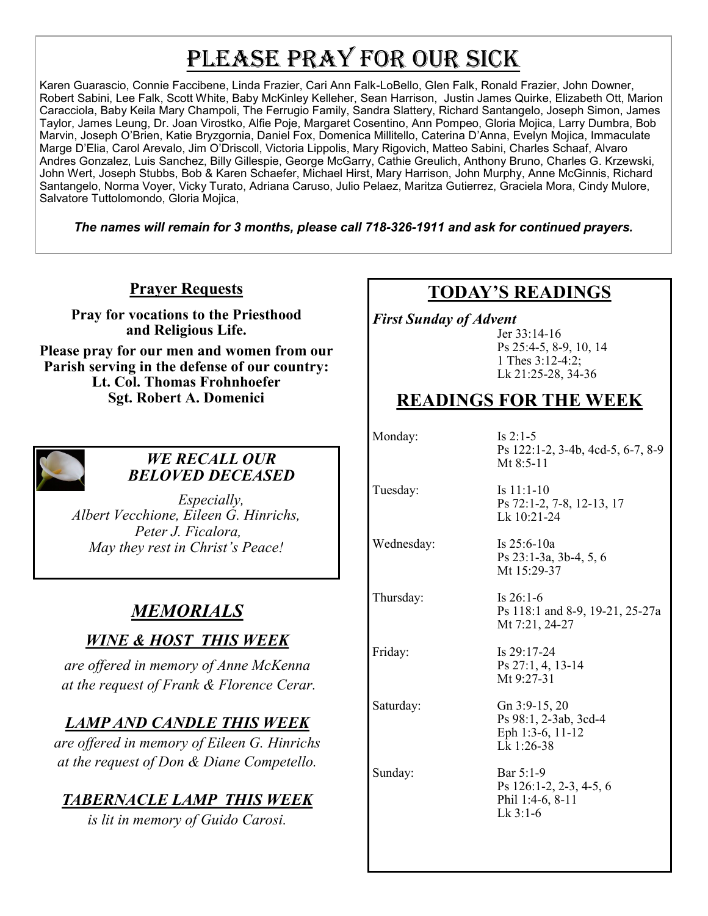# PLEASE PRAY FOR OUR SICK

Karen Guarascio, Connie Faccibene, Linda Frazier, Cari Ann Falk-LoBello, Glen Falk, Ronald Frazier, John Downer, Robert Sabini, Lee Falk, Scott White, Baby McKinley Kelleher, Sean Harrison, Justin James Quirke, Elizabeth Ott, Marion Caracciola, Baby Keila Mary Champoli, The Ferrugio Family, Sandra Slattery, Richard Santangelo, Joseph Simon, James Taylor, James Leung, Dr. Joan Virostko, Alfie Poje, Margaret Cosentino, Ann Pompeo, Gloria Mojica, Larry Dumbra, Bob Marvin, Joseph O'Brien, Katie Bryzgornia, Daniel Fox, Domenica Millitello, Caterina D'Anna, Evelyn Mojica, Immaculate Marge D'Elia, Carol Arevalo, Jim O'Driscoll, Victoria Lippolis, Mary Rigovich, Matteo Sabini, Charles Schaaf, Alvaro Andres Gonzalez, Luis Sanchez, Billy Gillespie, George McGarry, Cathie Greulich, Anthony Bruno, Charles G. Krzewski, John Wert, Joseph Stubbs, Bob & Karen Schaefer, Michael Hirst, Mary Harrison, John Murphy, Anne McGinnis, Richard Santangelo, Norma Voyer, Vicky Turato, Adriana Caruso, Julio Pelaez, Maritza Gutierrez, Graciela Mora, Cindy Mulore, Salvatore Tuttolomondo, Gloria Mojica,

*The names will remain for 3 months, please call 718-326-1911 and ask for continued prayers.*

**Prayer Requests**

**Pray for vocations to the Priesthood and Religious Life.** 

**Please pray for our men and women from our Parish serving in the defense of our country: Lt. Col. Thomas Frohnhoefer Sgt. Robert A. Domenici** 



#### *WE RECALL OUR BELOVED DECEASED*

*Especially, Albert Vecchione, Eileen G. Hinrichs, Peter J. Ficalora, May they rest in Christ's Peace!*

# *MEMORIALS*

## *WINE & HOST THIS WEEK*

*are offered in memory of Anne McKenna at the request of Frank & Florence Cerar.*

## *LAMP AND CANDLE THIS WEEK*

*are offered in memory of Eileen G. Hinrichs at the request of Don & Diane Competello.*

## *TABERNACLE LAMP THIS WEEK*

*is lit in memory of Guido Carosi.* 

## **TODAY'S READINGS**

*First Sunday of Advent* 

Jer 33:14-16 Ps 25:4-5, 8-9, 10, 14 1 Thes 3:12-4:2; Lk 21:25-28, 34-36

# **READINGS FOR THE WEEK**

Monday: Is 2:1-5

Ps 122:1-2, 3-4b, 4cd-5, 6-7, 8-9 Mt 8:5-11

Wednesday: Is 25:6-10a

Thursday: Is 26:1-6

Tuesday: Is 11:1-10 Ps 72:1-2, 7-8, 12-13, 17 Lk 10:21-24

> Ps 23:1-3a, 3b-4, 5, 6 Mt 15:29-37

Ps 118:1 and 8-9, 19-21, 25-27a Mt 7:21, 24-27

Friday: Is 29:17-24 Ps 27:1, 4, 13-14 Mt 9:27-31

Saturday: Gn 3:9-15, 20 Ps 98:1, 2-3ab, 3cd-4 Eph 1:3-6, 11-12 Lk 1:26-38

Sunday: Bar 5:1-9 Ps 126:1-2, 2-3, 4-5, 6 Phil 1:4-6, 8-11 Lk 3:1-6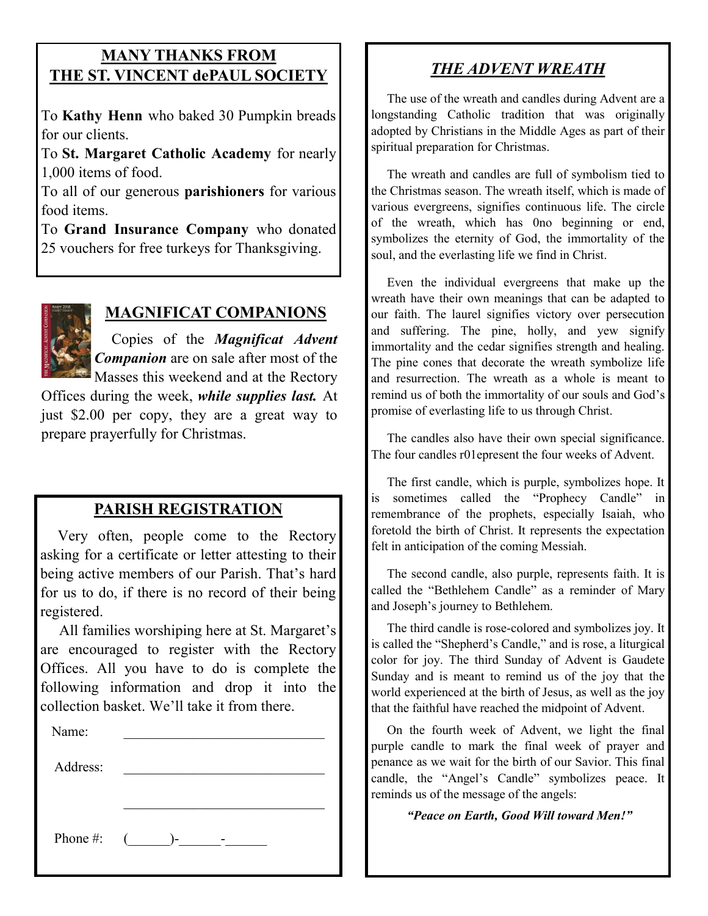#### **MANY THANKS FROM THE ST. VINCENT dePAUL SOCIETY**

To **Kathy Henn** who baked 30 Pumpkin breads for our clients.

To **St. Margaret Catholic Academy** for nearly 1,000 items of food.

To all of our generous **parishioners** for various food items.

To **Grand Insurance Company** who donated 25 vouchers for free turkeys for Thanksgiving.



## **MAGNIFICAT COMPANIONS**

 Copies of the *Magnificat Advent Companion* are on sale after most of the Masses this weekend and at the Rectory

Offices during the week, *while supplies last.* At just \$2.00 per copy, they are a great way to prepare prayerfully for Christmas.

#### **PARISH REGISTRATION**

 Very often, people come to the Rectory asking for a certificate or letter attesting to their being active members of our Parish. That's hard for us to do, if there is no record of their being registered.

 All families worshiping here at St. Margaret's are encouraged to register with the Rectory Offices. All you have to do is complete the following information and drop it into the collection basket. We'll take it from there. Ĭ

| Name:        |  |  |  |
|--------------|--|--|--|
| Address:     |  |  |  |
|              |  |  |  |
|              |  |  |  |
| Phone #: $($ |  |  |  |
|              |  |  |  |

## *THE ADVENT WREATH*

 The use of the wreath and candles during Advent are a longstanding Catholic tradition that was originally adopted by Christians in the Middle Ages as part of their spiritual preparation for Christmas.

 The wreath and candles are full of symbolism tied to the Christmas season. The wreath itself, which is made of various evergreens, signifies continuous life. The circle of the wreath, which has 0no beginning or end, symbolizes the eternity of God, the immortality of the soul, and the everlasting life we find in Christ.

 Even the individual evergreens that make up the wreath have their own meanings that can be adapted to our faith. The laurel signifies victory over persecution and suffering. The pine, holly, and yew signify immortality and the cedar signifies strength and healing. The pine cones that decorate the wreath symbolize life and resurrection. The wreath as a whole is meant to remind us of both the immortality of our souls and God's promise of everlasting life to us through Christ.

 The candles also have their own special significance. The four candles r01epresent the four weeks of Advent.

 The first candle, which is purple, symbolizes hope. It is sometimes called the "Prophecy Candle" in remembrance of the prophets, especially Isaiah, who foretold the birth of Christ. It represents the expectation felt in anticipation of the coming Messiah.

 The second candle, also purple, represents faith. It is called the "Bethlehem Candle" as a reminder of Mary and Joseph's journey to Bethlehem.

 The third candle is rose-colored and symbolizes joy. It is called the "Shepherd's Candle," and is rose, a liturgical color for joy. The third Sunday of Advent is Gaudete Sunday and is meant to remind us of the joy that the world experienced at the birth of Jesus, as well as the joy that the faithful have reached the midpoint of Advent.

 On the fourth week of Advent, we light the final purple candle to mark the final week of prayer and penance as we wait for the birth of our Savior. This final candle, the "Angel's Candle" symbolizes peace. It reminds us of the message of the angels:

*"Peace on Earth, Good Will toward Men!"*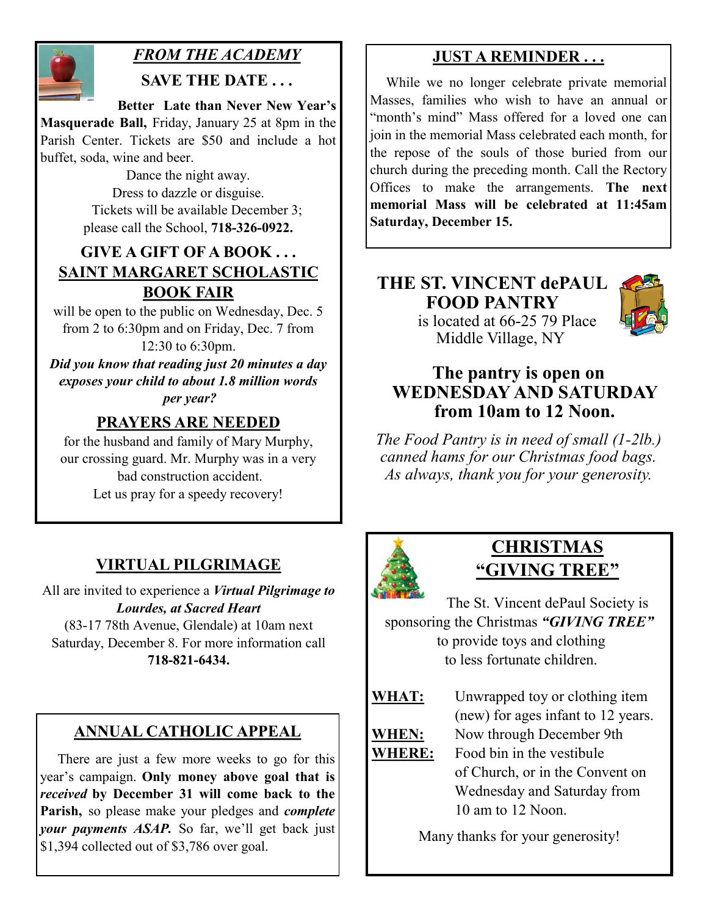

## *FROM THE ACADEMY*

**SAVE THE DATE . . .**

 **Better Late than Never New Year's Masquerade Ball,** Friday, January 25 at 8pm in the Parish Center. Tickets are \$50 and include a hot buffet, soda, wine and beer.

> Dance the night away. Dress to dazzle or disguise. Tickets will be available December 3; please call the School, **718-326-0922.**

#### **GIVE A GIFT OF A BOOK . . . SAINT MARGARET SCHOLASTIC BOOK FAIR**

will be open to the public on Wednesday, Dec. 5 from 2 to 6:30pm and on Friday, Dec. 7 from 12:30 to 6:30pm.

*Did you know that reading just 20 minutes a day exposes your child to about 1.8 million words per year?*

## **PRAYERS ARE NEEDED**

for the husband and family of Mary Murphy, our crossing guard. Mr. Murphy was in a very bad construction accident. Let us pray for a speedy recovery!

## **VIRTUAL PILGRIMAGE**

All are invited to experience a *Virtual Pilgrimage to Lourdes, at Sacred Heart* (83-17 78th Avenue, Glendale) at 10am next Saturday, December 8. For more information call **718-821-6434.** 

## **ANNUAL CATHOLIC APPEAL**

 There are just a few more weeks to go for this year's campaign. **Only money above goal that is**  *received* **by December 31 will come back to the Parish,** so please make your pledges and *complete your payments ASAP.* So far, we'll get back just \$1,394 collected out of \$3,786 over goal.

## **JUST A REMINDER . . .**

 While we no longer celebrate private memorial Masses, families who wish to have an annual or "month's mind" Mass offered for a loved one can join in the memorial Mass celebrated each month, for the repose of the souls of those buried from our church during the preceding month. Call the Rectory Offices to make the arrangements. **The next memorial Mass will be celebrated at 11:45am Saturday, December 15.** 

# **THE ST. VINCENT dePAUL FOOD PANTRY**

## is located at 66-25 79 Place Middle Village, NY

## **The pantry is open on WEDNESDAY AND SATURDAY from 10am to 12 Noon.**

*The Food Pantry is in need of small (1-2lb.) canned hams for our Christmas food bags. As always, thank you for your generosity.*



## **CHRISTMAS "GIVING TREE"**

The St. Vincent dePaul Society is sponsoring the Christmas *"GIVING TREE"* to provide toys and clothing to less fortunate children.

**WHAT:** Unwrapped toy or clothing item (new) for ages infant to 12 years. **WHEN:** Now through December 9th **WHERE:** Food bin in the vestibule

of Church, or in the Convent on Wednesday and Saturday from 10 am to 12 Noon.

Many thanks for your generosity!